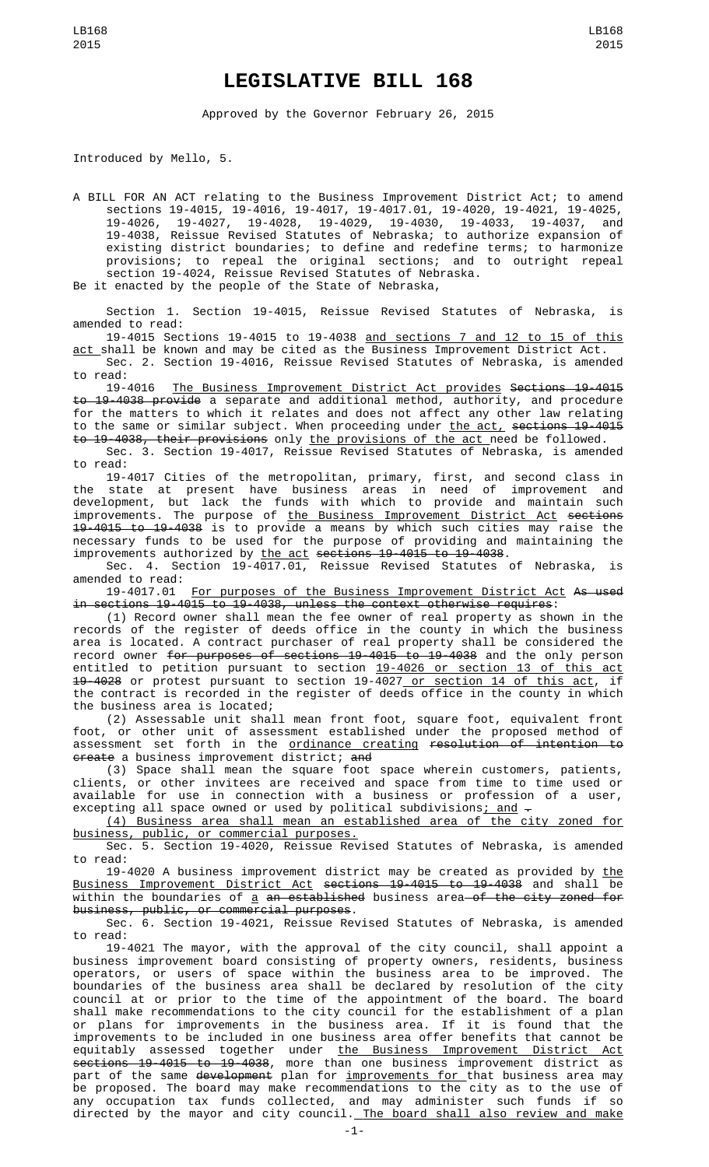## **LEGISLATIVE BILL 168**

Approved by the Governor February 26, 2015

Introduced by Mello, 5.

A BILL FOR AN ACT relating to the Business Improvement District Act; to amend sections 19-4015, 19-4016, 19-4017, 19-4017.01, 19-4020, 19-4021, 19-4025, 19-4026, 19-4027, 19-4028, 19-4029, 19-4030, 19-4033, 19-4037, and 19-4038, Reissue Revised Statutes of Nebraska; to authorize expansion of existing district boundaries; to define and redefine terms; to harmonize provisions; to repeal the original sections; and to outright repeal section 19-4024, Reissue Revised Statutes of Nebraska.

Be it enacted by the people of the State of Nebraska,

Section 1. Section 19-4015, Reissue Revised Statutes of Nebraska, is amended to read:

19-4015 Sections 19-4015 to 19-4038 and sections 7 and 12 to 15 of this <u>act </u>shall be known and may be cited as the Business Improvement District Act.

Sec. 2. Section 19-4016, Reissue Revised Statutes of Nebraska, is amended to read:<br>19-4016

The Business Improvement District Act provides Sections 19-4015 to 19-4038 provide a separate and additional method, authority, and procedure for the matters to which it relates and does not affect any other law relating to the same or similar subject. When proceeding under the act, sections 19-4015 to 19-4038, their provisions only the provisions of the act need be followed.

Sec. 3. Section 19-4017, Reissue Revised Statutes of Nebraska, is amended to read:

19-4017 Cities of the metropolitan, primary, first, and second class in the state at present have business areas in need of improvement and development, but lack the funds with which to provide and maintain such improvements. The purpose of the Business Improvement District Act sections 19-4015 to 19-4038 is to provide a means by which such cities may raise the necessary funds to be used for the purpose of providing and maintaining the improvements authorized by <u>the act</u> <del>sections 19-4015 to 19-4038</del>.

Sec. 4. Section 19-4017.01, Reissue Revised Statutes of Nebraska, is amended to read:<br>19-4017.01

For purposes of the Business Improvement District Act As used in sections 19-4015 to 19-4038, unless the context otherwise requires:

(1) Record owner shall mean the fee owner of real property as shown in the records of the register of deeds office in the county in which the business area is located. A contract purchaser of real property shall be considered the record owner for purposes of sections 19-4015 to 19-4038 and the only person entitled to petition pursuant to section 19-4026 or section 13 of this act 19-4028 or protest pursuant to section 19-4027 or section 14 of this act, if the contract is recorded in the register of deeds office in the county in which the business area is located;

(2) Assessable unit shall mean front foot, square foot, equivalent front foot, or other unit of assessment established under the proposed method of assessment set forth in the <u>ordinance creating</u> <del>resolution of intention to</del> <del>create</del> a business improvement district; <del>and</del>

(3) Space shall mean the square foot space wherein customers, patients, clients, or other invitees are received and space from time to time used or available for use in connection with a business or profession of a user, excepting all space owned or used by political subdivisions<u>; and</u>  $\hbox{\large -}$ 

(4) Business area shall mean an established area of the city zoned for business, public, or commercial purposes.

Sec. 5. Section 19-4020, Reissue Revised Statutes of Nebraska, is amended to read:

19-4020 A business improvement district may be created as provided by <u>the</u> Business Improvement District Act sections 19-4015 to 19-4038 and shall be within the boundaries of  $a$  an established business area of the city zoned for business, public, or commercial purposes.

Sec. 6. Section 19-4021, Reissue Revised Statutes of Nebraska, is amended to read:

19-4021 The mayor, with the approval of the city council, shall appoint a business improvement board consisting of property owners, residents, business operators, or users of space within the business area to be improved. The boundaries of the business area shall be declared by resolution of the city council at or prior to the time of the appointment of the board. The board shall make recommendations to the city council for the establishment of a plan or plans for improvements in the business area. If it is found that the improvements to be included in one business area offer benefits that cannot be equitably assessed together under <u>the Business Improvement District Act</u> sections 19-4015 to 19-4038, more than one business improvement district as part of the same <del>development</del> plan for <u>improvements for </u>that business area may be proposed. The board may make recommendations to the city as to the use of any occupation tax funds collected, and may administer such funds if so directed by the mayor and city council.<u> The board shall also review and make</u>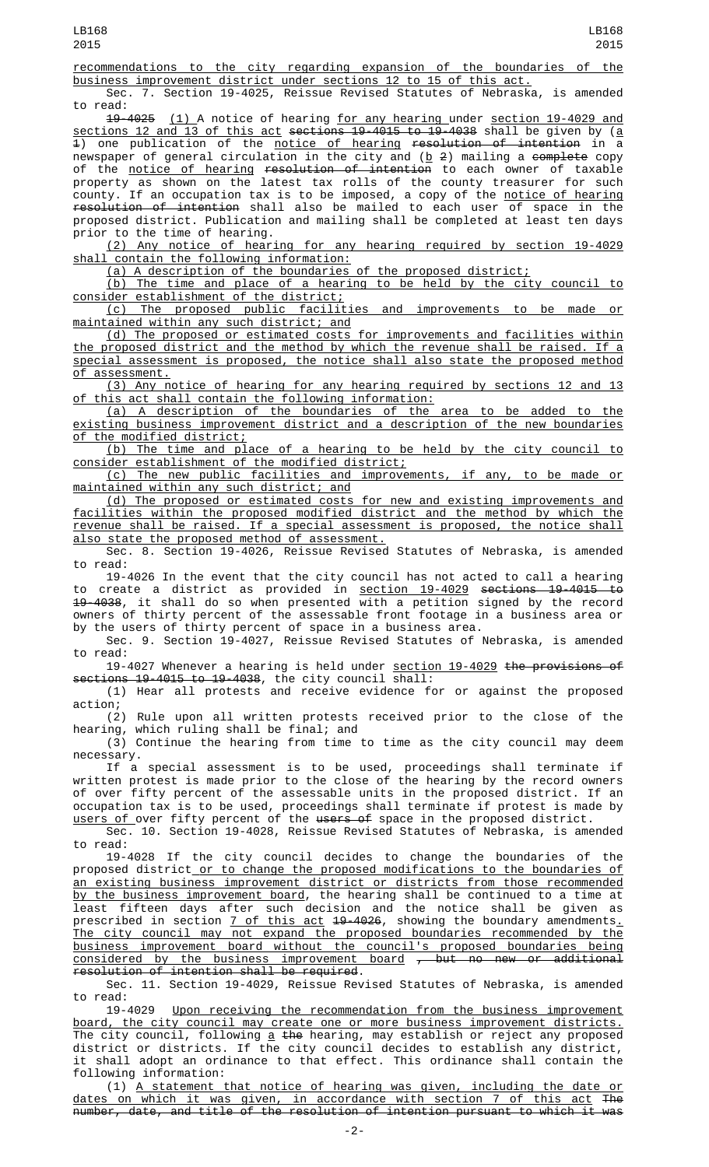recommendations to the city regarding expansion of the boundaries of the business improvement district under sections 12 to 15 of this act.

Sec. 7. Section 19-4025, Reissue Revised Statutes of Nebraska, is amended to read:

19-4025 (1) A notice of hearing for any hearing under section 19-4029 and sections 12 and 13 of this act sections 19-4015 to 19-4038 shall be given by (a  $\overline{1}$ ) one publication of the notice of hearing resolution of intention in  $\overline{a}$ newspaper of general circulation in the city and (<u>b</u> 2) mailing a <del>complete</del> copy of the <u>notice of hearing</u> <del>resolution of intention</del> to each owner of taxable property as shown on the latest tax rolls of the county treasurer for such county. If an occupation tax is to be imposed, a copy of the <u>notice of hearing</u> resolution of intention shall also be mailed to each user of space in the proposed district. Publication and mailing shall be completed at least ten days prior to the time of hearing.

(2) Any notice of hearing for any hearing required by section 19-4029 shall contain the following information:

(a) A description of the boundaries of the proposed district;

(b) The time and place of a hearing to be held by the city council to consider establishment of the district;

(c) The proposed public facilities and improvements to be made or maintained within any such district; and

(d) The proposed or estimated costs for improvements and facilities within the proposed district and the method by which the revenue shall be raised. If a special assessment is proposed, the notice shall also state the proposed method of assessment.

(3) Any notice of hearing for any hearing required by sections 12 and 13 of this act shall contain the following information:

(a) A description of the boundaries of the area to be added to the existing business improvement district and a description of the new boundaries of the modified district;

(b) The time and place of a hearing to be held by the city council to consider establishment of the modified district;

(c) The new public facilities and improvements, if any, to be made or maintained within any such district; and

(d) The proposed or estimated costs for new and existing improvements and facilities within the proposed modified district and the method by which the revenue shall be raised. If a special assessment is proposed, the notice shall also state the proposed method of assessment.

Sec. 8. Section 19-4026, Reissue Revised Statutes of Nebraska, is amended to read:

19-4026 In the event that the city council has not acted to call a hearing to create a district as provided in <u>section 19-4029</u> <del>sections 19-4015 to</del> 19-4038, it shall do so when presented with a petition signed by the record owners of thirty percent of the assessable front footage in a business area or by the users of thirty percent of space in a business area.

Sec. 9. Section 19-4027, Reissue Revised Statutes of Nebraska, is amended to read:

19-4027 Whenever a hearing is held under <u>section 19-4029</u> <del>the provisions of</del> sections 19-4015 to 19-4038, the city council shall:

(1) Hear all protests and receive evidence for or against the proposed action;

(2) Rule upon all written protests received prior to the close of the hearing, which ruling shall be final; and

(3) Continue the hearing from time to time as the city council may deem necessary.

If a special assessment is to be used, proceedings shall terminate if written protest is made prior to the close of the hearing by the record owners of over fifty percent of the assessable units in the proposed district. If an occupation tax is to be used, proceedings shall terminate if protest is made by <u>users of </u>over fifty percent of the <del>users of</del> space in the proposed district.

Sec. 10. Section 19-4028, Reissue Revised Statutes of Nebraska, is amended to read:

19-4028 If the city council decides to change the boundaries of the proposed district<u> or to change the proposed modifications to the boundaries of</u> an existing business improvement district or districts from those recommended <u>by the business improvement board</u>, the hearing shall be continued to a time at least fifteen days after such decision and the notice shall be given as prescribed in section 7 of this act 19-4026, showing the boundary amendments. The city council may not expand the proposed boundaries recommended by the business improvement board without the council's proposed boundaries being considered by the business improvement board , but no new or additional resolution of intention shall be required.

Sec. 11. Section 19-4029, Reissue Revised Statutes of Nebraska, is amended to read:<br>19-4029

Upon receiving the recommendation from the business improvement board, the city council may create one or more business improvement districts. The city council, following <u>a</u> <del>the</del> hearing, may establish or reject any proposed district or districts. If the city council decides to establish any district, it shall adopt an ordinance to that effect. This ordinance shall contain the following information:

(1) A statement that notice of hearing was given, including the date or dates on which it was given, in accordance with section 7 of this act The number, date, and title of the resolution of intention pursuant to which it was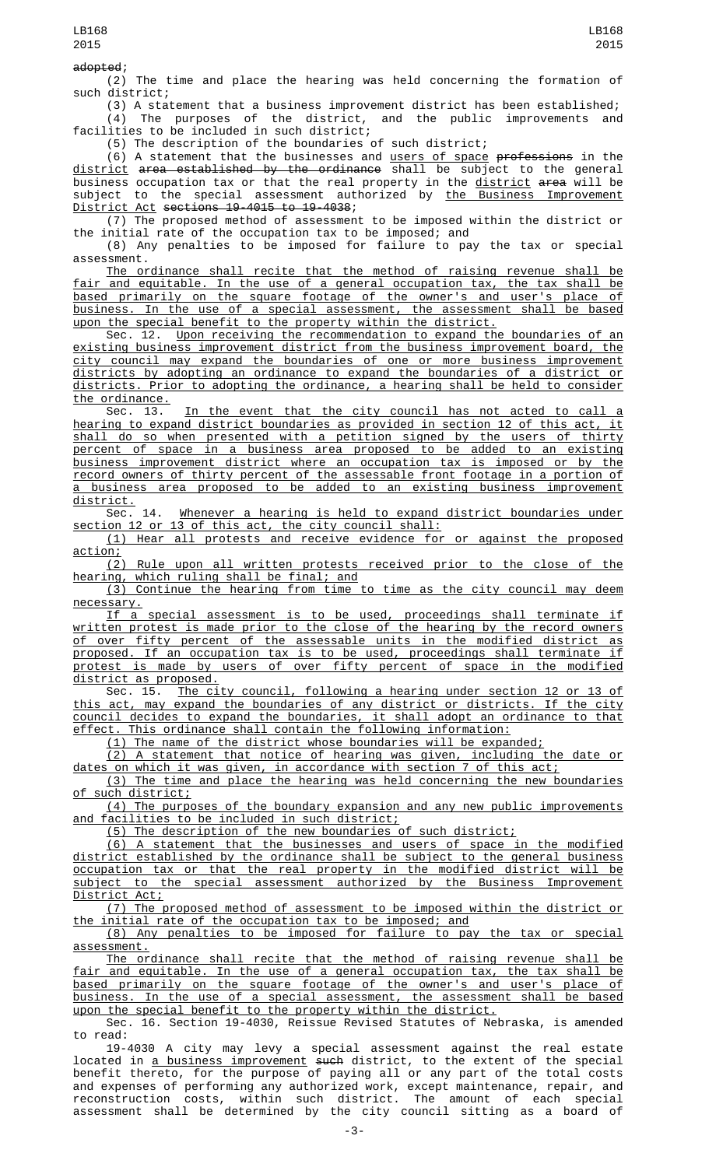adopted;

(2) The time and place the hearing was held concerning the formation of such district;

(3) A statement that a business improvement district has been established; (4) The purposes of the district, and the public improvements and facilities to be included in such district;

(5) The description of the boundaries of such district;

(6) A statement that the businesses and <u>users of space</u> p<del>rofessions</del> in the <u>district</u> a<del>rea established by the ordinance</del> shall be subject to the general business occupation tax or that the real property in the <u>district</u> <del>area</del> will be subject to the special assessment authorized by <u>the Business Improvement</u> District Act sections 19-4015 to 19-4038;

(7) The proposed method of assessment to be imposed within the district or the initial rate of the occupation tax to be imposed; and

(8) Any penalties to be imposed for failure to pay the tax or special assessment.

The ordinance shall recite that the method of raising revenue shall be fair and equitable. In the use of a general occupation tax, the tax shall be based primarily on the square footage of the owner's and user's place of business. In the use of a special assessment, the assessment shall be based upon the special benefit to the property within the district.

Sec. 12. Upon receiving the recommendation to expand the boundaries of an existing business improvement district from the business improvement board, the city council may expand the boundaries of one or more business improvement districts by adopting an ordinance to expand the boundaries of a district or districts. Prior to adopting the ordinance, a hearing shall be held to consider the ordinance.

Sec. 13. In the event that the city council has not acted to call a<br>ng to expand district boundaries as provided in sec<u>tion 12 of this act, it</u> hearing to expand district boundaries as provided in section 12 of this act, it shall do so when presented with a petition signed by the users of thirty percent of space in a business area proposed to be added to an existing business improvement district where an occupation tax is imposed or by the record owners of thirty percent of the assessable front footage in a portion of a business area proposed to be added to an existing business improvement <u>district.</u><br>.Sec

14. Whenever a hearing is held to expand district boundaries under section 12 or 13 of this act, the city council shall:

(1) Hear all protests and receive evidence for or against the proposed action;

(2) Rule upon all written protests received prior to the close of the hearing, which ruling shall be final; and

(3) Continue the hearing from time to time as the city council may deem necessary.

If a special assessment is to be used, proceedings shall terminate if written protest is made prior to the close of the hearing by the record owners of over fifty percent of the assessable units in the modified district as proposed. If an occupation tax is to be used, proceedings shall terminate if protest is made by users of over fifty percent of space in the modified district as proposed.

Sec. 15. The city council, following a hearing under section 12 or 13 of this act, may expand the boundaries of any district or districts. If the city council decides to expand the boundaries, it shall adopt an ordinance to that effect. This ordinance shall contain the following information:

(1) The name of the district whose boundaries will be expanded;

(2) A statement that notice of hearing was given, including the date or dates on which it was given, in accordance with section 7 of this act;

(3) The time and place the hearing was held concerning the new boundaries of such district;

(4) The purposes of the boundary expansion and any new public improvements and facilities to be included in such district;

(5) The description of the new boundaries of such district;

(6) A statement that the businesses and users of space in the modified district established by the ordinance shall be subject to the general business occupation tax or that the real property in the modified district will be subject to the special assessment authorized by the Business Improvement District Act;

(7) The proposed method of assessment to be imposed within the district or the initial rate of the occupation tax to be imposed; and

(8) Any penalties to be imposed for failure to pay the tax or special assessment.

The ordinance shall recite that the method of raising revenue shall be fair and equitable. In the use of a general occupation tax, the tax shall be based primarily on the square footage of the owner's and user's place of business. In the use of a special assessment, the assessment shall be based upon the special benefit to the property within the district.

Sec. 16. Section 19-4030, Reissue Revised Statutes of Nebraska, is amended to read:

19-4030 A city may levy a special assessment against the real estate located in <u>a business improvement</u> <del>such</del> district, to the extent of the special benefit thereto, for the purpose of paying all or any part of the total costs and expenses of performing any authorized work, except maintenance, repair, and reconstruction costs, within such district. The amount of each special assessment shall be determined by the city council sitting as a board of